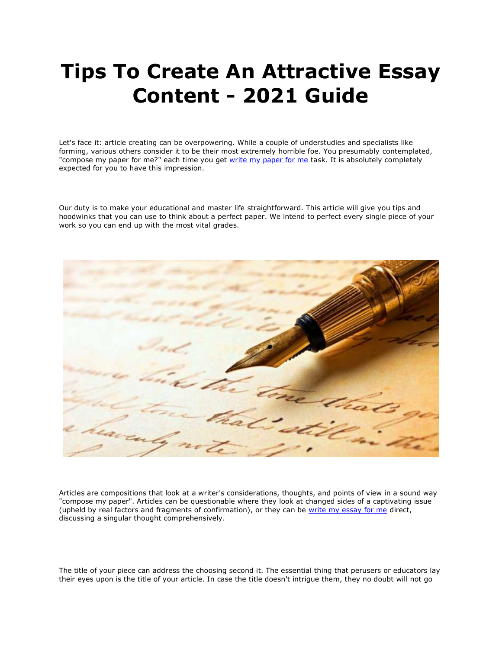## **Tips To Create An Attractive Essay Content - 2021 Guide**

Let's face it: article creating can be overpowering. While a couple of understudies and specialists like forming, various others consider it to be their most extremely horrible foe. You presumably contemplated, "compose my paper for me?" each time you get [write my paper for me](https://www.5staressays.com/) task. It is absolutely completely expected for you to have this impression.

Our duty is to make your educational and master life straightforward. This article will give you tips and hoodwinks that you can use to think about a perfect paper. We intend to perfect every single piece of your work so you can end up with the most vital grades.



Articles are compositions that look at a writer's considerations, thoughts, and points of view in a sound way "compose my paper". Articles can be questionable where they look at changed sides of a captivating issue (upheld by real factors and fragments of confirmation), or they can be [write my essay for me](https://www.myperfectwords.com/) direct, discussing a singular thought comprehensively.

The title of your piece can address the choosing second it. The essential thing that perusers or educators lay their eyes upon is the title of your article. In case the title doesn't intrigue them, they no doubt will not go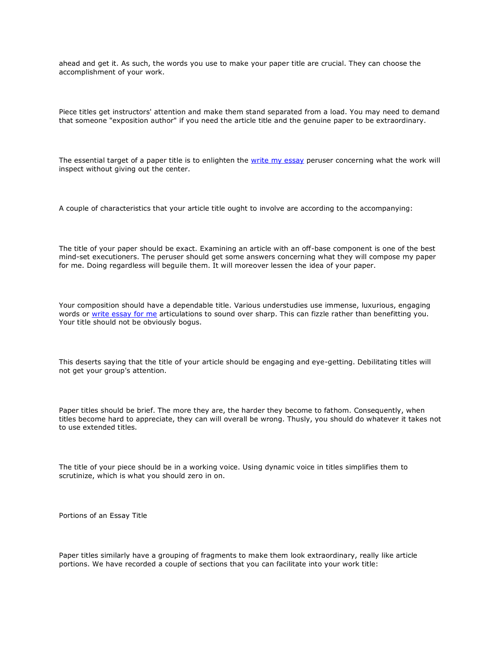ahead and get it. As such, the words you use to make your paper title are crucial. They can choose the accomplishment of your work.

Piece titles get instructors' attention and make them stand separated from a load. You may need to demand that someone "exposition author" if you need the article title and the genuine paper to be extraordinary.

The essential target of a paper title is to enlighten the [write my essay](https://www.myperfectpaper.net/) peruser concerning what the work will inspect without giving out the center.

A couple of characteristics that your article title ought to involve are according to the accompanying:

The title of your paper should be exact. Examining an article with an off-base component is one of the best mind-set executioners. The peruser should get some answers concerning what they will compose my paper for me. Doing regardless will beguile them. It will moreover lessen the idea of your paper.

Your composition should have a dependable title. Various understudies use immense, luxurious, engaging words or [write essay for me](https://www.freeessaywriter.net/) articulations to sound over sharp. This can fizzle rather than benefitting you. Your title should not be obviously bogus.

This deserts saying that the title of your article should be engaging and eye-getting. Debilitating titles will not get your group's attention.

Paper titles should be brief. The more they are, the harder they become to fathom. Consequently, when titles become hard to appreciate, they can will overall be wrong. Thusly, you should do whatever it takes not to use extended titles.

The title of your piece should be in a working voice. Using dynamic voice in titles simplifies them to scrutinize, which is what you should zero in on.

Portions of an Essay Title

Paper titles similarly have a grouping of fragments to make them look extraordinary, really like article portions. We have recorded a couple of sections that you can facilitate into your work title: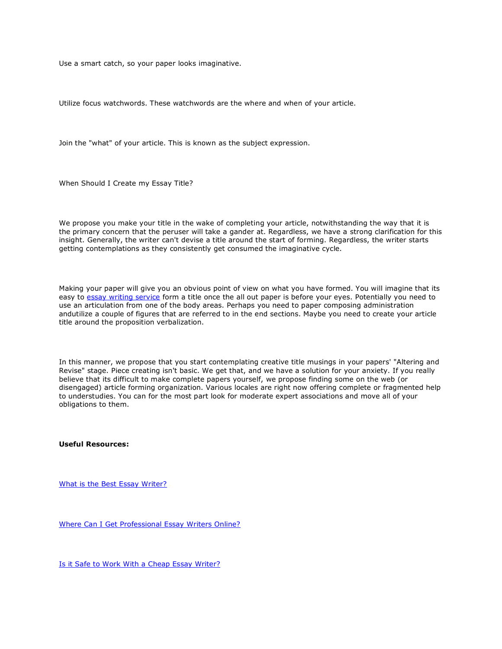Use a smart catch, so your paper looks imaginative.

Utilize focus watchwords. These watchwords are the where and when of your article.

Join the "what" of your article. This is known as the subject expression.

When Should I Create my Essay Title?

We propose you make your title in the wake of completing your article, notwithstanding the way that it is the primary concern that the peruser will take a gander at. Regardless, we have a strong clarification for this insight. Generally, the writer can't devise a title around the start of forming. Regardless, the writer starts getting contemplations as they consistently get consumed the imaginative cycle.

Making your paper will give you an obvious point of view on what you have formed. You will imagine that its easy to [essay writing service](https://www.5staressays.com/) form a title once the all out paper is before your eyes. Potentially you need to use an articulation from one of the body areas. Perhaps you need to paper composing administration andutilize a couple of figures that are referred to in the end sections. Maybe you need to create your article title around the proposition verbalization.

In this manner, we propose that you start contemplating creative title musings in your papers' "Altering and Revise" stage. Piece creating isn't basic. We get that, and we have a solution for your anxiety. If you really believe that its difficult to make complete papers yourself, we propose finding some on the web (or disengaged) article forming organization. Various locales are right now offering complete or fragmented help to understudies. You can for the most part look for moderate expert associations and move all of your obligations to them.

**Useful Resources:**

[What is the Best Essay Writer?](https://www.collegeessay.org/essay-writer/what-is-the-best-essay-writer)

[Where Can I Get Professional Essay Writers Online?](https://www.collegeessay.org/essay-writer/where-can-I-get-professional-essay-writers-online)

[Is it Safe to Work With a Cheap Essay Writer?](https://www.collegeessay.org/essay-writer/is-it-safe-to-work-with-a-cheap-essay-writer)